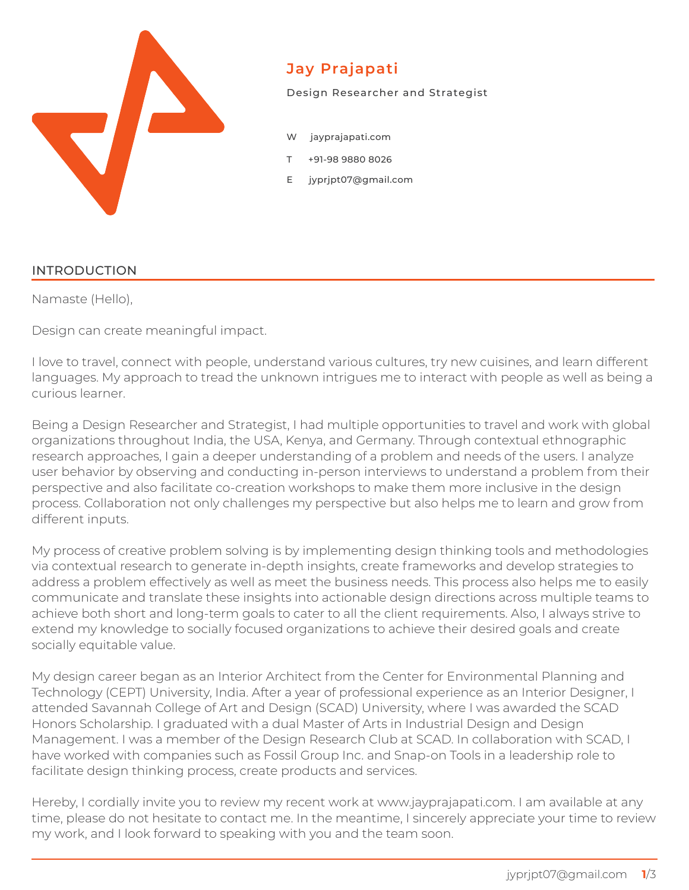

## **Jay Prajapati**

Design Researcher and Strategist

- jayprajapati.com
- T +91-98 9880 8026
- E jyprjpt07@gmail.com

#### INTRODUCTION

Namaste (Hello),

Design can create meaningful impact.

I love to travel, connect with people, understand various cultures, try new cuisines, and learn different languages. My approach to tread the unknown intrigues me to interact with people as well as being a curious learner.

Being a Design Researcher and Strategist, I had multiple opportunities to travel and work with global organizations throughout India, the USA, Kenya, and Germany. Through contextual ethnographic research approaches, I gain a deeper understanding of a problem and needs of the users. I analyze user behavior by observing and conducting in-person interviews to understand a problem from their perspective and also facilitate co-creation workshops to make them more inclusive in the design process. Collaboration not only challenges my perspective but also helps me to learn and grow from different inputs.

My process of creative problem solving is by implementing design thinking tools and methodologies via contextual research to generate in-depth insights, create frameworks and develop strategies to address a problem effectively as well as meet the business needs. This process also helps me to easily communicate and translate these insights into actionable design directions across multiple teams to achieve both short and long-term goals to cater to all the client requirements. Also, I always strive to extend my knowledge to socially focused organizations to achieve their desired goals and create socially equitable value.

My design career began as an Interior Architect from the Center for Environmental Planning and Technology (CEPT) University, India. After a year of professional experience as an Interior Designer, I attended Savannah College of Art and Design (SCAD) University, where I was awarded the SCAD Honors Scholarship. I graduated with a dual Master of Arts in Industrial Design and Design Management. I was a member of the Design Research Club at SCAD. In collaboration with SCAD, I have worked with companies such as Fossil Group Inc. and Snap-on Tools in a leadership role to facilitate design thinking process, create products and services.

Hereby, I cordially invite you to review my recent work at www.jayprajapati.com. I am available at any time, please do not hesitate to contact me. In the meantime, I sincerely appreciate your time to review my work, and I look forward to speaking with you and the team soon.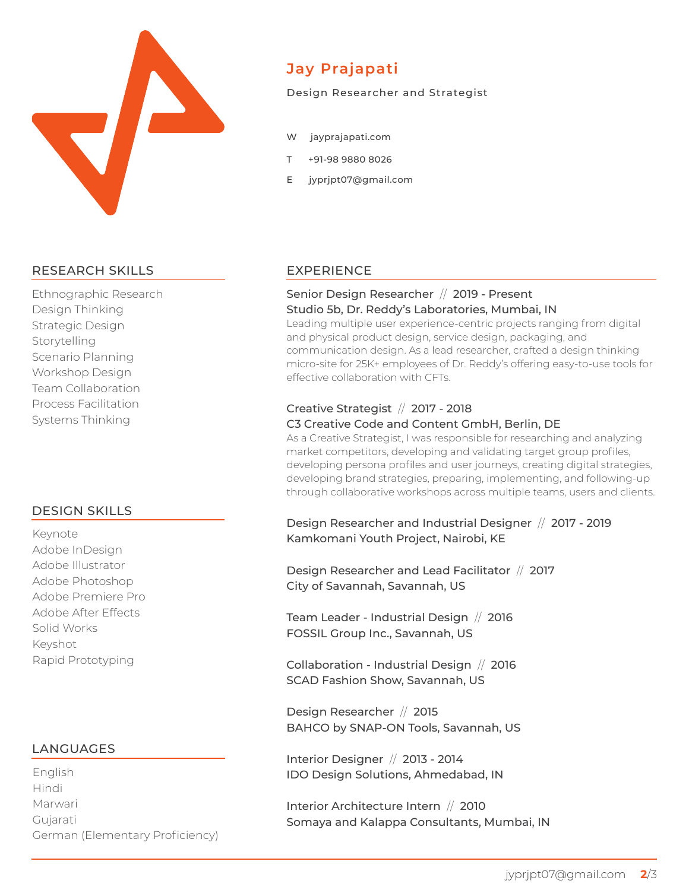

## RESEARCH SKILLS

Systems Thinking **Canadian Content, Canadian Content, Canadian Canadian Canadian Canadian Canadian Canadian** Ethnographic Research **collaboration, space planning** Design Thinking and agency in the **Stud** Strategic Design Interior Architecture Interior Architecture Interior Consultants, Consultants, Consultants, Consultants, Consultants, Consultants, Consultants, Consultants, Consultants, Consultants, Consultants, Consultants, Consultants, Scenario Planning Learning from Project Lead and Senior Architect, developing project breifs, workshop Design and 3D and 3D drawings are effectively Team Collaboration Process Facilitation

#### **Workshop Facilitator, City of Savannah, Savannah, US (2017)** DESIGN SKILLS

**Team Leader - Industrial Design, FOSSIL Group Inc., Savannah, US (2016)** Adobe Photoshop **cater on a family of products that cater** Adobe Premiere Pro **Collaboration - Industrial Design, SCAD Fashion Show, Savannah, US (2016)** Solid Works Fashion Collaboration Project "The Selfmade Self" (Presented at SCAD Fashion Show, 2016) Designed thumb-print detail to hold garment elements, rapid prototyping and 3D printing. Keynote Collaborative Collaborative Workshop with the City of Savannah and local City of Savannah and local City of Savannah and Local City of Savannah and Local City of Savannah and Local City of Savannah and Local City o businesses to encourage water stewardship, leading to Public-Private-Partnership (P3) Adobe InDesign Adobe Illustrator Adobe After Effects Keyshot Rapid Prototyping

### Developing project breifs, client collaboration, space planing, developing 2D drawings, LANGUAGES

finalizing CMF, site management, agency and vendor handeling and post project servicing. **Interior Architecture Intern, Somaya and Kalappa Consultants, Mumbai, IN (2010) Marwari Maturect, developing project breifs, space planing, space planing, space planing, space planing, space planing, space planing, space planing, space planing, space planing, space planing, space planing, space pla** creating 2D and 3D drawings, creating detail drawings and site supervision. Savannah College ofArt and Design (SCAD, Savannah, US) Gujarati **MA, Design Management (2016 - 2017)** English Savannah College ofArt and Design (SCAD, Savannah, US) Hindi German (Elementary Proficiency)

Centre for Environmental Planing and Technology (CEPT University, Ahmedabad, IN)

# **Jay Prajapati**

#### Design Researcher and Strategist

- W jayprajapati.com
- T +91-98 9880 8026
- E jyprjpt07@gmail.com

### EXPERIENCE

#### Senior Design Researcher // 2019 - Present Studio 5b, Dr. Reddy's Laboratories, Mumbai, IN

Leading multiple user experience-centric projects ranging from digital and physical product design, service design, packaging, and communication design. As a lead researcher, crafted a design thinking micro-site for 25K+ employees of Dr. Reddy's offering easy-to-use tools for effective collaboration with CFTs.

### Creative Strategist // 2017 - 2018

#### C3 Creative Code and Content GmbH, Berlin, DE

Analyzing market competitors, developing persona, facilitating customer workshops, **Industrial Designer, Kamkomani Youth Project, Nairobi, KE (2017 - Ongoing)** Designing and Implementing AQUA 33 : Water Container in Nairobi, Kenya to empower communities, create source of income and build trust between locals and NGOs/NPOs. And NGOs/NPOs. NPOs. NPOs. N As a Creative Strategist, I was responsible for researching and analyzing market competitors, developing and validating target group profiles, developing persona profiles and user journeys, creating digital strategies, developing brand strategies, preparing, implementing, and following-up through collaborative workshops across multiple teams, users and clients.

> Design Researcher and Industrial Designer // 2017 - 2019 Kamkomani Youth Project, Nairobi, KE

Design Researcher and Lead Facilitator // 2017 City of Savannah, Savannah, US

Team Leader - Industrial Design // 2016 FOSSIL Group Inc., Savannah, US

Collaboration - Industrial Design // 2016 SCAD Fashion Show, Savannah, US

Design Researcher // 2015 BAHCO by SNAP-ON Tools, Savannah, US

Interior Designer // 2013 - 2014 IDO Design Solutions, Ahmedabad, IN

Interior Architecture Intern // 2010 Somaya and Kalappa Consultants, Mumbai, IN